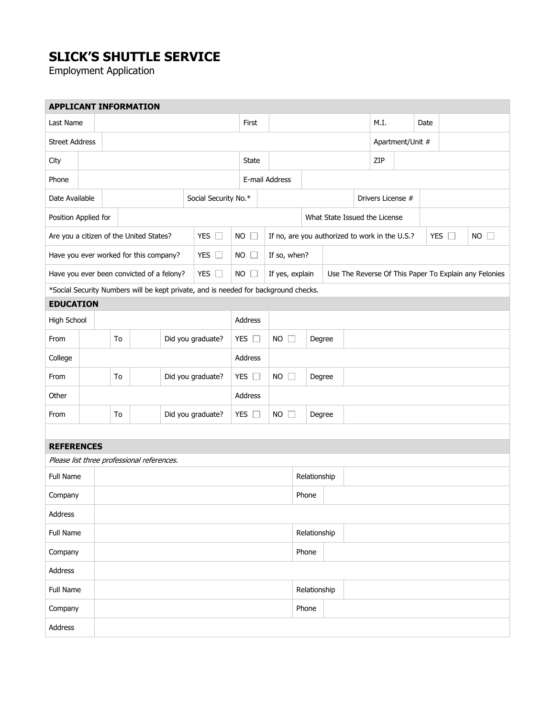## **SLICK'S SHUTTLE SERVICE**

Employment Application

|                                         |                         |                                                                                     |                                        | <b>APPLICANT INFORMATION</b>               |                      |                       |                       |                                                |                               |       |                                                       |                   |               |             |  |  |  |
|-----------------------------------------|-------------------------|-------------------------------------------------------------------------------------|----------------------------------------|--------------------------------------------|----------------------|-----------------------|-----------------------|------------------------------------------------|-------------------------------|-------|-------------------------------------------------------|-------------------|---------------|-------------|--|--|--|
| Last Name                               |                         |                                                                                     |                                        |                                            |                      |                       |                       | First                                          |                               |       |                                                       | M.I.              |               | Date        |  |  |  |
| <b>Street Address</b>                   |                         |                                                                                     |                                        |                                            |                      |                       |                       |                                                | Apartment/Unit #              |       |                                                       |                   |               |             |  |  |  |
| City                                    |                         |                                                                                     |                                        |                                            |                      |                       |                       | State                                          |                               |       |                                                       | ZIP               |               |             |  |  |  |
| Phone                                   |                         |                                                                                     |                                        |                                            | E-mail Address       |                       |                       |                                                |                               |       |                                                       |                   |               |             |  |  |  |
| Date Available                          |                         |                                                                                     |                                        |                                            | Social Security No.* |                       |                       |                                                |                               |       |                                                       | Drivers License # |               |             |  |  |  |
| Position Applied for                    |                         |                                                                                     |                                        |                                            |                      |                       |                       |                                                | What State Issued the License |       |                                                       |                   |               |             |  |  |  |
| Are you a citizen of the United States? |                         |                                                                                     |                                        | YES $\Box$                                 | NO                   |                       |                       | If no, are you authorized to work in the U.S.? |                               |       |                                                       |                   | YES $\square$ | $NO$ $\Box$ |  |  |  |
|                                         |                         |                                                                                     | Have you ever worked for this company? |                                            |                      | YES $\square$         | NO                    | $\Box$                                         | If so, when?                  |       |                                                       |                   |               |             |  |  |  |
|                                         |                         | Have you ever been convicted of a felony?                                           |                                        |                                            | YES $\square$        |                       | $NO$ $\Box$           | If yes, explain                                |                               |       | Use The Reverse Of This Paper To Explain any Felonies |                   |               |             |  |  |  |
|                                         |                         | *Social Security Numbers will be kept private, and is needed for background checks. |                                        |                                            |                      |                       |                       |                                                |                               |       |                                                       |                   |               |             |  |  |  |
| <b>EDUCATION</b>                        |                         |                                                                                     |                                        |                                            |                      |                       |                       |                                                |                               |       |                                                       |                   |               |             |  |  |  |
| High School                             |                         |                                                                                     |                                        |                                            |                      |                       |                       | Address                                        |                               |       |                                                       |                   |               |             |  |  |  |
| From                                    | To<br>Did you graduate? |                                                                                     |                                        | YES $\square$                              |                      | $NO$ $\Box$           |                       | Degree                                         |                               |       |                                                       |                   |               |             |  |  |  |
| College                                 |                         |                                                                                     |                                        |                                            | Address              |                       |                       |                                                |                               |       |                                                       |                   |               |             |  |  |  |
| From                                    | Did you graduate?<br>To |                                                                                     |                                        |                                            | YES $\square$        | $NO$ $\Box$<br>Degree |                       |                                                |                               |       |                                                       |                   |               |             |  |  |  |
| Other                                   |                         |                                                                                     |                                        |                                            |                      | Address               |                       |                                                |                               |       |                                                       |                   |               |             |  |  |  |
| From                                    |                         | Did you graduate?<br>To                                                             |                                        |                                            |                      | YES $\square$         | $NO$ $\Box$<br>Degree |                                                |                               |       |                                                       |                   |               |             |  |  |  |
|                                         |                         |                                                                                     |                                        |                                            |                      |                       |                       |                                                |                               |       |                                                       |                   |               |             |  |  |  |
| <b>REFERENCES</b>                       |                         |                                                                                     |                                        |                                            |                      |                       |                       |                                                |                               |       |                                                       |                   |               |             |  |  |  |
|                                         |                         |                                                                                     |                                        | Please list three professional references. |                      |                       |                       |                                                |                               |       |                                                       |                   |               |             |  |  |  |
| Full Name                               |                         |                                                                                     |                                        |                                            |                      |                       |                       |                                                | Relationship                  |       |                                                       |                   |               |             |  |  |  |
| Company                                 |                         |                                                                                     |                                        |                                            |                      |                       |                       |                                                |                               | Phone |                                                       |                   |               |             |  |  |  |
| Address                                 |                         |                                                                                     |                                        |                                            |                      |                       |                       |                                                |                               |       |                                                       |                   |               |             |  |  |  |
| Full Name                               |                         |                                                                                     |                                        |                                            |                      | Relationship          |                       |                                                |                               |       |                                                       |                   |               |             |  |  |  |
| Company                                 |                         |                                                                                     |                                        |                                            |                      | Phone                 |                       |                                                |                               |       |                                                       |                   |               |             |  |  |  |
| Address                                 |                         |                                                                                     |                                        |                                            |                      |                       |                       |                                                |                               |       |                                                       |                   |               |             |  |  |  |
| Full Name                               |                         |                                                                                     |                                        |                                            |                      |                       |                       |                                                | Relationship                  |       |                                                       |                   |               |             |  |  |  |
| Company                                 |                         |                                                                                     |                                        |                                            |                      |                       |                       |                                                | Phone                         |       |                                                       |                   |               |             |  |  |  |
| Address                                 |                         |                                                                                     |                                        |                                            |                      |                       |                       |                                                |                               |       |                                                       |                   |               |             |  |  |  |